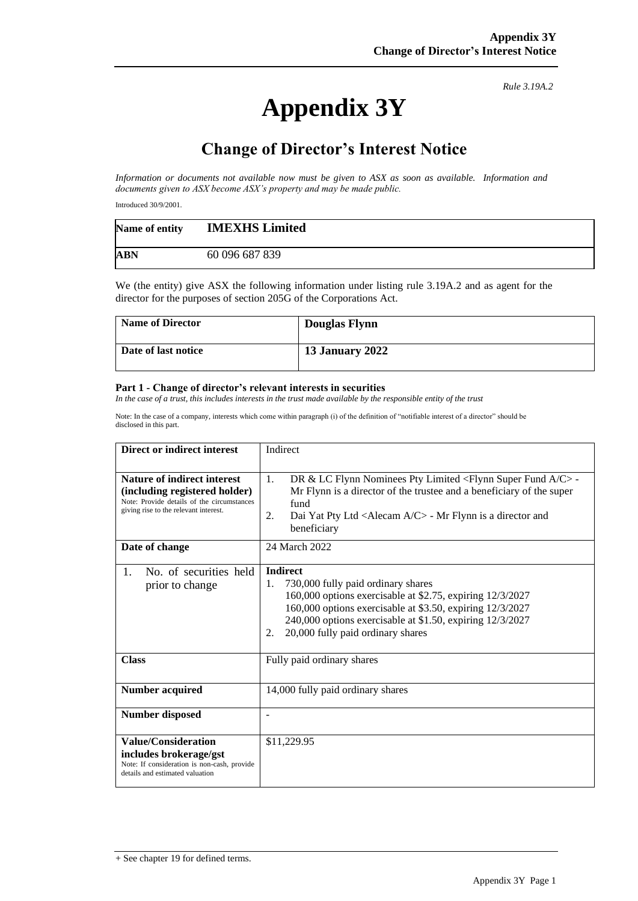#### *Rule 3.19A.2*

# **Appendix 3Y**

# **Change of Director's Interest Notice**

*Information or documents not available now must be given to ASX as soon as available. Information and documents given to ASX become ASX's property and may be made public.*

Introduced 30/9/2001.

| Name of entity | <b>IMEXHS</b> Limited |
|----------------|-----------------------|
| ABN            | 60 096 687 839        |

We (the entity) give ASX the following information under listing rule 3.19A.2 and as agent for the director for the purposes of section 205G of the Corporations Act.

| <b>Name of Director</b> | <b>Douglas Flynn</b>   |
|-------------------------|------------------------|
| Date of last notice     | <b>13 January 2022</b> |

#### **Part 1 - Change of director's relevant interests in securities**

*In the case of a trust, this includes interests in the trust made available by the responsible entity of the trust*

Note: In the case of a company, interests which come within paragraph (i) of the definition of "notifiable interest of a director" should be disclosed in this part.

| Direct or indirect interest                                                                                                                                           | Indirect                                                                                                                                                                                                                                                                                       |
|-----------------------------------------------------------------------------------------------------------------------------------------------------------------------|------------------------------------------------------------------------------------------------------------------------------------------------------------------------------------------------------------------------------------------------------------------------------------------------|
| Nature of indirect interest<br>(including registered holder)<br>Note: Provide details of the circumstances<br>giving rise to the relevant interest.<br>Date of change | DR & LC Flynn Nominees Pty Limited <flynn a="" c="" fund="" super=""> -<br/>1.<br/>Mr Flynn is a director of the trustee and a beneficiary of the super<br/>fund<br/>2.<br/>Dai Yat Pty Ltd <alecam a="" c=""> - Mr Flynn is a director and<br/>beneficiary<br/>24 March 2022</alecam></flynn> |
|                                                                                                                                                                       |                                                                                                                                                                                                                                                                                                |
| No. of securities held<br>$\mathbf{1}$ .<br>prior to change                                                                                                           | <b>Indirect</b><br>730,000 fully paid ordinary shares<br>1.<br>160,000 options exercisable at \$2.75, expiring 12/3/2027<br>160,000 options exercisable at \$3.50, expiring 12/3/2027<br>240,000 options exercisable at \$1.50, expiring 12/3/2027<br>20,000 fully paid ordinary shares<br>2.  |
| <b>Class</b>                                                                                                                                                          | Fully paid ordinary shares                                                                                                                                                                                                                                                                     |
| <b>Number acquired</b>                                                                                                                                                | 14,000 fully paid ordinary shares                                                                                                                                                                                                                                                              |
| <b>Number disposed</b>                                                                                                                                                | $\overline{\phantom{a}}$                                                                                                                                                                                                                                                                       |
| <b>Value/Consideration</b><br>includes brokerage/gst<br>Note: If consideration is non-cash, provide<br>details and estimated valuation                                | \$11,229.95                                                                                                                                                                                                                                                                                    |

<sup>+</sup> See chapter 19 for defined terms.